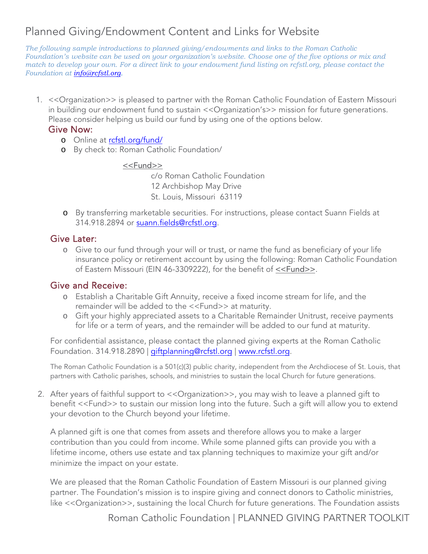# Planned Giving/Endowment Content and Links for Website

*The following sample introductions to planned giving/endowments and links to the Roman Catholic Foundation's website can be used on your organization's website. Choose one of the five options or mix and match to develop your own. For a direct link to your endowment fund listing on rcfstl.org, please contact the Foundation at [info@rcfstl.org.](mailto:info@rcfstl.org)*

1. <<Organization>> is pleased to partner with the Roman Catholic Foundation of Eastern Missouri in building our endowment fund to sustain << Organization's>> mission for future generations. Please consider helping us build our fund by using one of the options below.

### Give Now:

- o Online at rcfstl.org/fund/
- o By check to: [Roman Cathol](https://rcfstl.org/fund/)ic Foundation/

#### <<Fund>>

c/o Roman Catholic Foundation 12 Archbishop May Drive St. Louis, Missouri 63119

o By transferring marketable securities. For instructions, please contact Suann Fields at 314.918.2894 or [suann.fields@rcfstl.org.](mailto:suann.fields@rcfstl.org)

## Give Later:

o Give to our fund through your will or trust, or name the fund as beneficiary of your life insurance policy or retirement account by using the following: Roman Catholic Foundation of Eastern Missouri (EIN 46-3309222), for the benefit of <<Fund>>.

## Give and Receive:

- o Establish a Charitable Gift Annuity, receive a fixed income stream for life, and the remainder will be added to the <<Fund>> at maturity.
- o Gift your highly appreciated assets to a Charitable Remainder Unitrust, receive payments for life or a term of years, and the remainder will be added to our fund at maturity.

For confidential assistance, please contact the planned giving experts at the Roman Catholic Foundation. 314.918.2890 | [giftplanning@rcfstl.org](mailto:giftplanning@rcfstl.org) | www.[rcfstl.org.](http://www.rcfstl.org/)

The Roman Catholic Foundation is a 501(c)(3) public charity, independent from the Archdiocese of St. Louis, that partners with Catholic parishes, schools, and ministries to sustain the local Church for future generations.

2. After years of faithful support to <<Organization>>, you may wish to leave a planned gift to benefit <<Fund>> to sustain our mission long into the future. Such a gift will allow you to extend your devotion to the Church beyond your lifetime.

A planned gift is one that comes from assets and therefore allows you to make a larger contribution than you could from income. While some planned gifts can provide you with a lifetime income, others use estate and tax planning techniques to maximize your gift and/or minimize the impact on your estate.

We are pleased that the Roman Catholic Foundation of Eastern Missouri is our planned giving partner. The Foundation's mission is to inspire giving and connect donors to Catholic ministries, like << Organization>>, sustaining the local Church for future generations. The Foundation assists

Roman Catholic Foundation | PLANNED GIVING PARTNER TOOLKIT